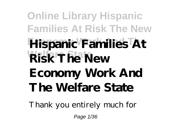**Online Library Hispanic Families At Risk The New Economy Work And The Hispanic Families At Welfare State Risk The New Economy Work And The Welfare State**

Thank you entirely much for

Page 1/36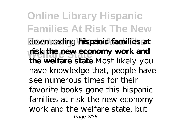**Online Library Hispanic Families At Risk The New Economy Work And The** downloading **hispanic families at Welfare State risk the new economy work and the welfare state**.Most likely you have knowledge that, people have see numerous times for their favorite books gone this hispanic families at risk the new economy work and the welfare state, but Page 2/36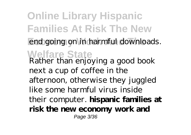**Online Library Hispanic Families At Risk The New** end going on in harmful downloads. **Welfare State** Rather than enjoying a good book next a cup of coffee in the afternoon, otherwise they juggled like some harmful virus inside their computer. **hispanic families at risk the new economy work and** Page 3/36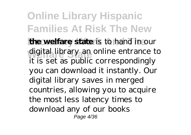**Online Library Hispanic Families At Risk The New the welfare state** is to hand in our digital library an online entrance to it is set as public correspondingly you can download it instantly. Our digital library saves in merged countries, allowing you to acquire the most less latency times to download any of our books Page 4/36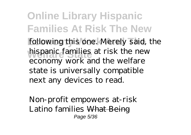**Online Library Hispanic Families At Risk The New** following this one. Merely said, the hispanic families at risk the new economy work and the welfare state is universally compatible next any devices to read.

*Non-profit empowers at-risk Latino families* What Being Page 5/36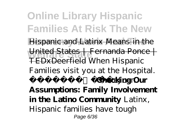**Online Library Hispanic Families At Risk The New** Hispanic and Latinx Means in the **Welfare State** United States | Fernanda Ponce | TEDxDeerfield *When Hispanic Families visit you at the Hospital. #TeamLeJuan***Checking Our Assumptions: Family Involvement in the Latino Community** Latinx, Hispanic families have tough Page 6/36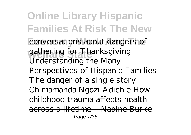**Online Library Hispanic Families At Risk The New** conversations about dangers of gathering for Thanksgiving *Understanding the Many Perspectives of Hispanic Families The danger of a single story | Chimamanda Ngozi Adichie* How childhood trauma affects health across a lifetime | Nadine Burke Page 7/36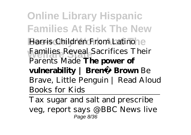**Online Library Hispanic Families At Risk The New Harris** *Children From Latino*<sup>e</sup> **Welfare State** *Families Reveal Sacrifices Their Parents Made* **The power of vulnerability | Brené Brown** *Be Brave, Little Penguin | Read Aloud Books for Kids*

Tax sugar and salt and prescribe veg, report says @BBC News live Page 8/36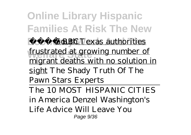**Online Library Hispanic Families At Risk The New EcoBBCouth Texas authorities Welfare State** frustrated at growing number of migrant deaths with no solution in sight The Shady Truth Of The Pawn Stars Experts The 10 MOST HISPANIC CITIES in America Denzel Washington's Life Advice Will Leave You Page 9/36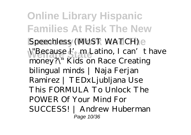**Online Library Hispanic Families At Risk The New** Speechless (MUST WATCH) e **Welfare State** \"Because I'm Latino, I can't have money?\" Kids on Race *Creating bilingual minds | Naja Ferjan Ramirez | TEDxLjubljana* Use This FORMULA To Unlock The POWER Of Your Mind For SUCCESS! | Andrew Huberman Page 10/36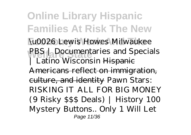**Online Library Hispanic Families At Risk The New WOO26 Lewis Howes Milwaukee PBS** | Documentaries and Specials Latino Wisconsin Hispanie Americans reflect on immigration, culture, and identity *Pawn Stars: RISKING IT ALL FOR BIG MONEY (9 Risky \$\$\$ Deals) | History* 100 Mystery Buttons.. Only 1 Will Let Page 11/36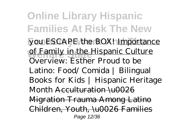**Online Library Hispanic Families At Risk The New** you ESCAPE the BOX! Importance of Family in the Hispanic Culture *Overview: Esther* Proud to be Latino: Food/ Comida | Bilingual Books for Kids | Hispanic Heritage Month Acculturation \u0026 Migration Trauma Among Latino Children, Youth, \u0026 Families Page 12/36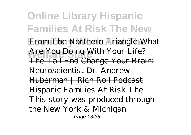**Online Library Hispanic Families At Risk The New** From The Northern Triangle What Are You Doing With Your Life? The Tail End Change Your Brain: Neuroscientist Dr. Andrew Huberman | Rich Roll Podcast Hispanic Families At Risk The This story was produced through the New York & Michigan Page 13/36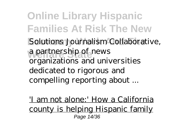**Online Library Hispanic Families At Risk The New** Solutions Journalism Collaborative, a partnership of news organizations and universities dedicated to rigorous and compelling reporting about ...

'I am not alone:' How a California county is helping Hispanic family Page 14/36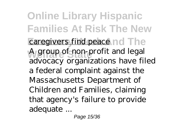**Online Library Hispanic Families At Risk The New** caregivers find peace nd The **Welfare State** A group of non-profit and legal advocacy organizations have filed a federal complaint against the Massachusetts Department of Children and Families, claiming that agency's failure to provide adequate ...

Page 15/36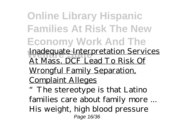**Online Library Hispanic Families At Risk The New Economy Work And The Inadequate Interpretation Services** At Mass. DCF Lead To Risk Of Wrongful Family Separation, Complaint Alleges "The stereotype is that Latino families care about family more ... His weight, high blood pressure Page 16/36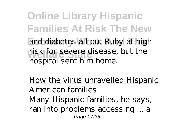**Online Library Hispanic Families At Risk The New** and diabetes all put Ruby at high **Welfare State** risk for severe disease, but the hospital sent him home.

How the virus unravelled Hispanic American families Many Hispanic families, he says, ran into problems accessing ... a Page 17/36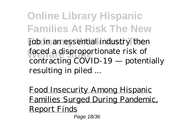**Online Library Hispanic Families At Risk The New** job in an essential industry then faced a disproportionate risk of contracting COVID-19 — potentially resulting in piled ...

Food Insecurity Among Hispanic Families Surged During Pandemic, Report Finds Page 18/36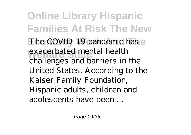**Online Library Hispanic Families At Risk The New** The COVID-19 pandemic has e exacerbated mental health challenges and barriers in the United States. According to the Kaiser Family Foundation, Hispanic adults, children and adolescents have been ...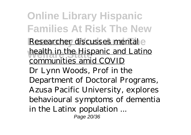**Online Library Hispanic Families At Risk The New** Researcher discusses mental e **Welfare State** health in the Hispanic and Latino communities amid COVID Dr Lynn Woods, Prof in the Department of Doctoral Programs, Azusa Pacific University, explores behavioural symptoms of dementia in the Latinx population ... Page 20/36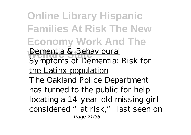**Online Library Hispanic Families At Risk The New Economy Work And The Welfare State** Dementia & Behavioural Symptoms of Dementia: Risk for the Latinx population The Oakland Police Department has turned to the public for help locating a 14-year-old missing girl considered "at risk," last seen on Page 21/36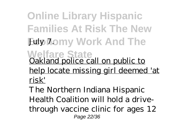**Online Library Hispanic Families At Risk The New Edy 7.0my Work And The Welfare State** Oakland police call on public to help locate missing girl deemed 'at risk'

The Northern Indiana Hispanic Health Coalition will hold a drivethrough vaccine clinic for ages 12 Page 22/36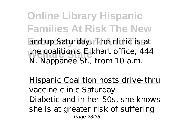**Online Library Hispanic Families At Risk The New** and up Saturday. The clinic is at the coalition's Elkhart office, 444 N. Nappanee St., from 10 a.m.

Hispanic Coalition hosts drive-thru vaccine clinic Saturday Diabetic and in her 50s, she knows she is at greater risk of suffering Page 23/36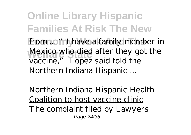**Online Library Hispanic Families At Risk The New** from ... "I have a family member in Mexico who died after they got the vaccine," Lopez said told the Northern Indiana Hispanic ...

Northern Indiana Hispanic Health Coalition to host vaccine clinic The complaint filed by Lawyers Page 24/36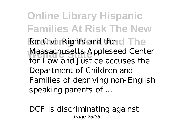**Online Library Hispanic Families At Risk The New** for Civil Rights and the d The **Welfare State** Massachusetts Appleseed Center for Law and Justice accuses the Department of Children and Families of depriving non-English speaking parents of ...

DCF is discriminating against Page 25/36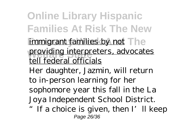**Online Library Hispanic Families At Risk The New** immigrant families by not The providing interpreters, advocates tell federal officials Her daughter, Jazmin, will return to in-person learning for her sophomore year this fall in the La Joya Independent School District.

" If a choice is given, then I'll keep Page 26/36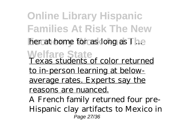**Online Library Hispanic Families At Risk The New** her at home for as long as I ... **Welfare State** Texas students of color returned to in-person learning at belowaverage rates. Experts say the reasons are nuanced. A French family returned four pre-Hispanic clay artifacts to Mexico in Page 27/36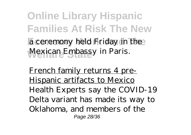**Online Library Hispanic Families At Risk The New** a ceremony held Friday in the Mexican Embassy in Paris.

French family returns 4 pre-Hispanic artifacts to Mexico Health Experts say the COVID-19 Delta variant has made its way to Oklahoma, and members of the Page 28/36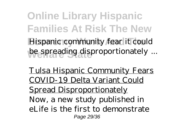**Online Library Hispanic Families At Risk The New** Hispanic community fear it could be spreading disproportionately ...

Tulsa Hispanic Community Fears COVID-19 Delta Variant Could Spread Disproportionately Now, a new study published in eLife is the first to demonstrate Page 29/36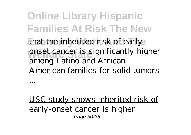**Online Library Hispanic Families At Risk The New** that the inherited risk of earlyonset cancer is significantly higher among Latino and African American families for solid tumors

USC study shows inherited risk of early-onset cancer is higher Page 30/36

...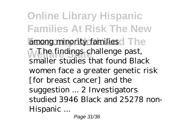**Online Library Hispanic Families At Risk The New** among minority families dThe **Welfare State** "The findings challenge past, smaller studies that found Black women face a greater genetic risk [for breast cancer] and the suggestion ... 2 Investigators studied 3946 Black and 25278 non-Hispanic ...

Page 31/36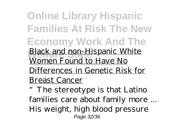**Online Library Hispanic Families At Risk The New Economy Work And The Welfare State** Black and non-Hispanic White Women Found to Have No Differences in Genetic Risk for Breast Cancer

"The stereotype is that Latino families care about family more ... His weight, high blood pressure Page 32/36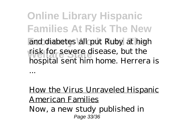**Online Library Hispanic Families At Risk The New** and diabetes all put Ruby at high **Welfare State** risk for severe disease, but the hospital sent him home. Herrera is

How the Virus Unraveled Hispanic American Families

Now, a new study published in Page 33/36

...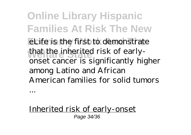**Online Library Hispanic Families At Risk The New** eLife is the first to demonstrate that the inherited risk of earlyonset cancer is significantly higher among Latino and African American families for solid tumors

Inherited risk of early-onset Page 34/36

...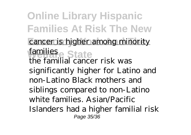**Online Library Hispanic Families At Risk The New** cancer is higher among minority families<sub>e</sub> State the familial cancer risk was significantly higher for Latino and non-Latino Black mothers and siblings compared to non-Latino white families. Asian/Pacific Islanders had a higher familial risk Page 35/36